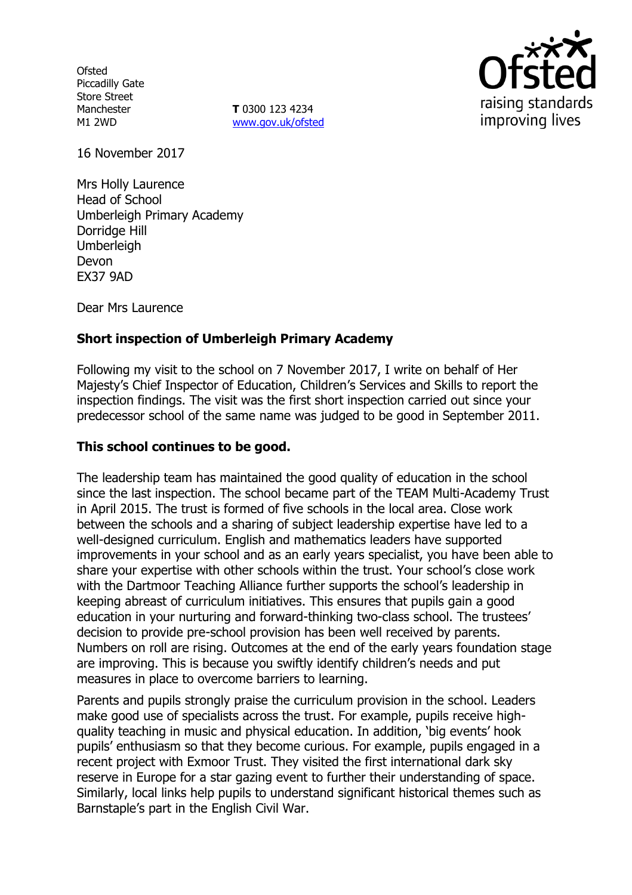**Ofsted** Piccadilly Gate Store Street Manchester M1 2WD

**T** 0300 123 4234 www.gov.uk/ofsted



16 November 2017

Mrs Holly Laurence Head of School Umberleigh Primary Academy Dorridge Hill Umberleigh Devon EX37 9AD

Dear Mrs Laurence

### **Short inspection of Umberleigh Primary Academy**

Following my visit to the school on 7 November 2017, I write on behalf of Her Majesty's Chief Inspector of Education, Children's Services and Skills to report the inspection findings. The visit was the first short inspection carried out since your predecessor school of the same name was judged to be good in September 2011.

### **This school continues to be good.**

The leadership team has maintained the good quality of education in the school since the last inspection. The school became part of the TEAM Multi-Academy Trust in April 2015. The trust is formed of five schools in the local area. Close work between the schools and a sharing of subject leadership expertise have led to a well-designed curriculum. English and mathematics leaders have supported improvements in your school and as an early years specialist, you have been able to share your expertise with other schools within the trust. Your school's close work with the Dartmoor Teaching Alliance further supports the school's leadership in keeping abreast of curriculum initiatives. This ensures that pupils gain a good education in your nurturing and forward-thinking two-class school. The trustees' decision to provide pre-school provision has been well received by parents. Numbers on roll are rising. Outcomes at the end of the early years foundation stage are improving. This is because you swiftly identify children's needs and put measures in place to overcome barriers to learning.

Parents and pupils strongly praise the curriculum provision in the school. Leaders make good use of specialists across the trust. For example, pupils receive highquality teaching in music and physical education. In addition, 'big events' hook pupils' enthusiasm so that they become curious. For example, pupils engaged in a recent project with Exmoor Trust. They visited the first international dark sky reserve in Europe for a star gazing event to further their understanding of space. Similarly, local links help pupils to understand significant historical themes such as Barnstaple's part in the English Civil War.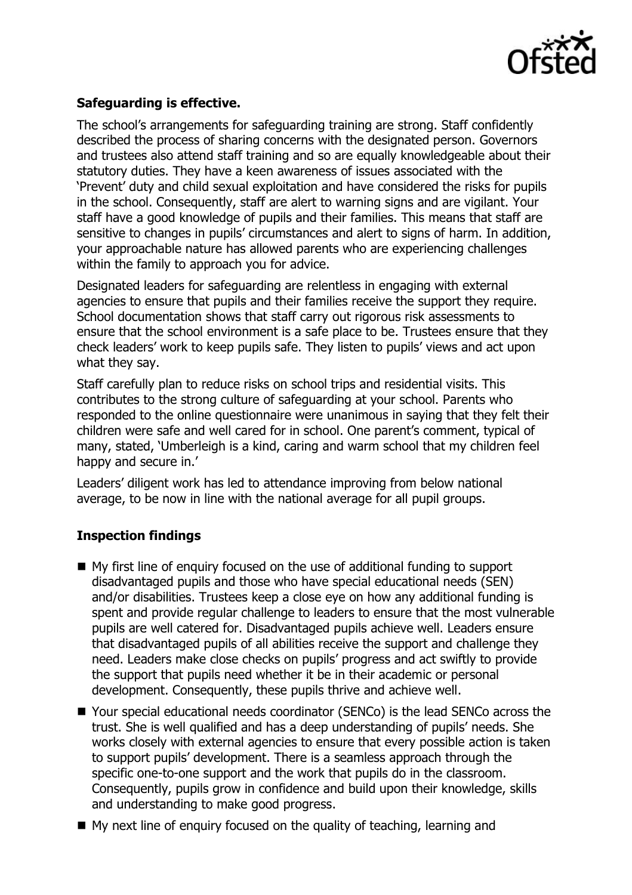

# **Safeguarding is effective.**

The school's arrangements for safeguarding training are strong. Staff confidently described the process of sharing concerns with the designated person. Governors and trustees also attend staff training and so are equally knowledgeable about their statutory duties. They have a keen awareness of issues associated with the 'Prevent' duty and child sexual exploitation and have considered the risks for pupils in the school. Consequently, staff are alert to warning signs and are vigilant. Your staff have a good knowledge of pupils and their families. This means that staff are sensitive to changes in pupils' circumstances and alert to signs of harm. In addition, your approachable nature has allowed parents who are experiencing challenges within the family to approach you for advice.

Designated leaders for safeguarding are relentless in engaging with external agencies to ensure that pupils and their families receive the support they require. School documentation shows that staff carry out rigorous risk assessments to ensure that the school environment is a safe place to be. Trustees ensure that they check leaders' work to keep pupils safe. They listen to pupils' views and act upon what they say.

Staff carefully plan to reduce risks on school trips and residential visits. This contributes to the strong culture of safeguarding at your school. Parents who responded to the online questionnaire were unanimous in saying that they felt their children were safe and well cared for in school. One parent's comment, typical of many, stated, 'Umberleigh is a kind, caring and warm school that my children feel happy and secure in.'

Leaders' diligent work has led to attendance improving from below national average, to be now in line with the national average for all pupil groups.

## **Inspection findings**

- My first line of enquiry focused on the use of additional funding to support disadvantaged pupils and those who have special educational needs (SEN) and/or disabilities. Trustees keep a close eye on how any additional funding is spent and provide regular challenge to leaders to ensure that the most vulnerable pupils are well catered for. Disadvantaged pupils achieve well. Leaders ensure that disadvantaged pupils of all abilities receive the support and challenge they need. Leaders make close checks on pupils' progress and act swiftly to provide the support that pupils need whether it be in their academic or personal development. Consequently, these pupils thrive and achieve well.
- Your special educational needs coordinator (SENCo) is the lead SENCo across the trust. She is well qualified and has a deep understanding of pupils' needs. She works closely with external agencies to ensure that every possible action is taken to support pupils' development. There is a seamless approach through the specific one-to-one support and the work that pupils do in the classroom. Consequently, pupils grow in confidence and build upon their knowledge, skills and understanding to make good progress.
- $\blacksquare$  My next line of enquiry focused on the quality of teaching, learning and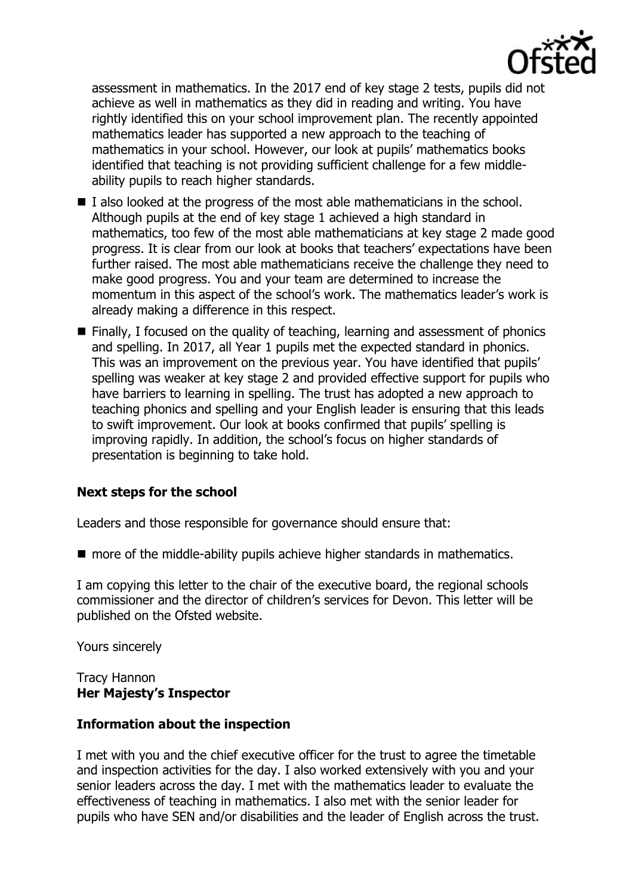

assessment in mathematics. In the 2017 end of key stage 2 tests, pupils did not achieve as well in mathematics as they did in reading and writing. You have rightly identified this on your school improvement plan. The recently appointed mathematics leader has supported a new approach to the teaching of mathematics in your school. However, our look at pupils' mathematics books identified that teaching is not providing sufficient challenge for a few middleability pupils to reach higher standards.

- I also looked at the progress of the most able mathematicians in the school. Although pupils at the end of key stage 1 achieved a high standard in mathematics, too few of the most able mathematicians at key stage 2 made good progress. It is clear from our look at books that teachers' expectations have been further raised. The most able mathematicians receive the challenge they need to make good progress. You and your team are determined to increase the momentum in this aspect of the school's work. The mathematics leader's work is already making a difference in this respect.
- $\blacksquare$  Finally, I focused on the quality of teaching, learning and assessment of phonics and spelling. In 2017, all Year 1 pupils met the expected standard in phonics. This was an improvement on the previous year. You have identified that pupils' spelling was weaker at key stage 2 and provided effective support for pupils who have barriers to learning in spelling. The trust has adopted a new approach to teaching phonics and spelling and your English leader is ensuring that this leads to swift improvement. Our look at books confirmed that pupils' spelling is improving rapidly. In addition, the school's focus on higher standards of presentation is beginning to take hold.

### **Next steps for the school**

Leaders and those responsible for governance should ensure that:

■ more of the middle-ability pupils achieve higher standards in mathematics.

I am copying this letter to the chair of the executive board, the regional schools commissioner and the director of children's services for Devon. This letter will be published on the Ofsted website.

Yours sincerely

### Tracy Hannon **Her Majesty's Inspector**

### **Information about the inspection**

I met with you and the chief executive officer for the trust to agree the timetable and inspection activities for the day. I also worked extensively with you and your senior leaders across the day. I met with the mathematics leader to evaluate the effectiveness of teaching in mathematics. I also met with the senior leader for pupils who have SEN and/or disabilities and the leader of English across the trust.